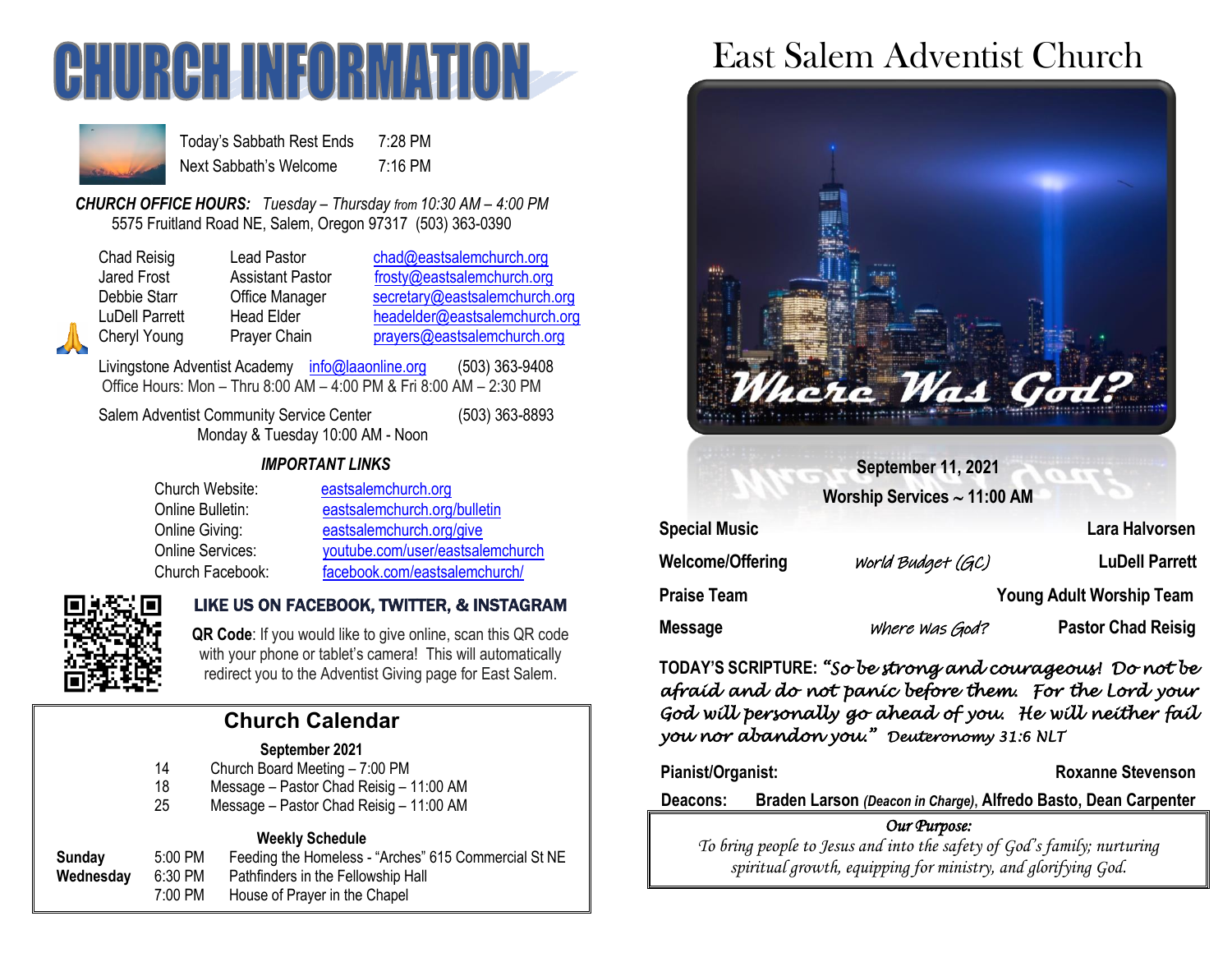



Today's Sabbath Rest Ends 7:28 PM Next Sabbath's Welcome 7:16 PM

*CHURCH OFFICE HOURS: Tuesday – Thursday from 10:30 AM – 4:00 PM* 5575 Fruitland Road NE, Salem, Oregon 97317 (503) 363-0390

| <b>Chad Reisig</b> |
|--------------------|
| <b>Jared Frost</b> |
| Debbie Starr       |
| LuDell Parrett     |
| Cheryl Young       |

Lead Pastor [chad@eastsalemchurch.org](mailto:chad@eastsalemchurch.org) Assistant Pastor [frosty@eastsalemchurch.org](mailto:frosty@eastsalemchurch.org) Office Manager [secretary@eastsalemchurch.org](mailto:secretary@eastsalemchurch.org) Head Elder [headelder@eastsalemchurch.org](mailto:headelder@eastsalemchurch.org) Prayer Chain [prayers@eastsalemchurch.org](mailto:prayers@eastsalemchurch.org)

Livingstone Adventist Academy [info@laaonline.org](mailto:info@laaonline.org) (503) 363-9408 Office Hours: Mon – Thru 8:00 AM – 4:00 PM & Fri 8:00 AM – 2:30 PM

Salem Adventist Community Service Center (503) 363-8893 Monday & Tuesday 10:00 AM - Noon

*IMPORTANT LINKS*

| Church Website:         | eastsalemchurch.org              |
|-------------------------|----------------------------------|
| Online Bulletin:        | eastsalemchurch.org/bulletin     |
| Online Giving:          | eastsalemchurch.org/give         |
| <b>Online Services:</b> | youtube.com/user/eastsalemchurch |
| Church Facebook:        | facebook.com/eastsalemchurch/    |



#### LIKE US ON FACEBOOK, TWITTER, & INSTAGRAM

**QR Code**: If you would like to give online, scan this QR code with your phone or tablet's camera! This will automatically redirect you to the Adventist Giving page for East Salem.

# **Church Calendar**

#### **September 2021**

- 14 Church Board Meeting 7:00 PM
- 18 Message Pastor Chad Reisig 11:00 AM
- 25 Message Pastor Chad Reisig 11:00 AM

#### **Weekly Schedule**

| Sunday    | $5:00$ PM | Feeding the Homeless - "Arches" 615 Commercial St NE |
|-----------|-----------|------------------------------------------------------|
| Wednesday | 6:30 PM   | Pathfinders in the Fellowship Hall                   |
|           | 7:00 PM   | House of Prayer in the Chapel                        |
|           |           |                                                      |

# East Salem Adventist Church



**September 11, 2021**

**Worship Services 11:00 AM**

| <b>Special Music</b> |                   | Lara Halvorsen                  |
|----------------------|-------------------|---------------------------------|
| Welcome/Offering     | World Budget (GC) | <b>LuDell Parrett</b>           |
| Praise Team          |                   | <b>Young Adult Worship Team</b> |
| Message              | where was God?    | <b>Pastor Chad Reisig</b>       |

**TODAY'S SCRIPTURE:** *"So be strong and courageous! Do not be afraid and do not panic before them. For the Lord your God will personally go ahead of you. He will neither fail you nor abandon you." Deuteronomy 31:6 NLT* 

Pianist/Organist: **Roxanne Stevenson** 

**Deacons: Braden Larson** *(Deacon in Charge)***, Alfredo Basto, Dean Carpenter**

#### *Our Purpose:*

*To bring people to Jesus and into the safety of God's family; nurturing spiritual growth, equipping for ministry, and glorifying God.*